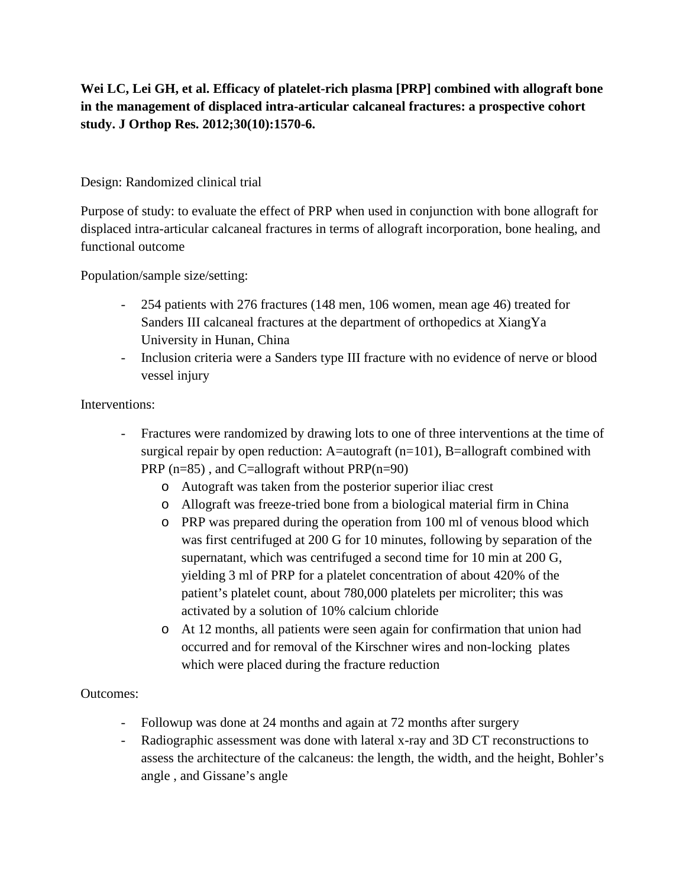**Wei LC, Lei GH, et al. Efficacy of platelet-rich plasma [PRP] combined with allograft bone in the management of displaced intra-articular calcaneal fractures: a prospective cohort study. J Orthop Res. 2012;30(10):1570-6.**

## Design: Randomized clinical trial

Purpose of study: to evaluate the effect of PRP when used in conjunction with bone allograft for displaced intra-articular calcaneal fractures in terms of allograft incorporation, bone healing, and functional outcome

Population/sample size/setting:

- 254 patients with 276 fractures (148 men, 106 women, mean age 46) treated for Sanders III calcaneal fractures at the department of orthopedics at XiangYa University in Hunan, China
- Inclusion criteria were a Sanders type III fracture with no evidence of nerve or blood vessel injury

## Interventions:

- Fractures were randomized by drawing lots to one of three interventions at the time of surgical repair by open reduction: A=autograft  $(n=101)$ , B=allograft combined with PRP  $(n=85)$ , and C=allograft without PRP $(n=90)$ 
	- o Autograft was taken from the posterior superior iliac crest
	- o Allograft was freeze-tried bone from a biological material firm in China
	- o PRP was prepared during the operation from 100 ml of venous blood which was first centrifuged at 200 G for 10 minutes, following by separation of the supernatant, which was centrifuged a second time for 10 min at 200 G, yielding 3 ml of PRP for a platelet concentration of about 420% of the patient's platelet count, about 780,000 platelets per microliter; this was activated by a solution of 10% calcium chloride
	- o At 12 months, all patients were seen again for confirmation that union had occurred and for removal of the Kirschner wires and non-locking plates which were placed during the fracture reduction

## Outcomes:

- Followup was done at 24 months and again at 72 months after surgery
- Radiographic assessment was done with lateral x-ray and 3D CT reconstructions to assess the architecture of the calcaneus: the length, the width, and the height, Bohler's angle , and Gissane's angle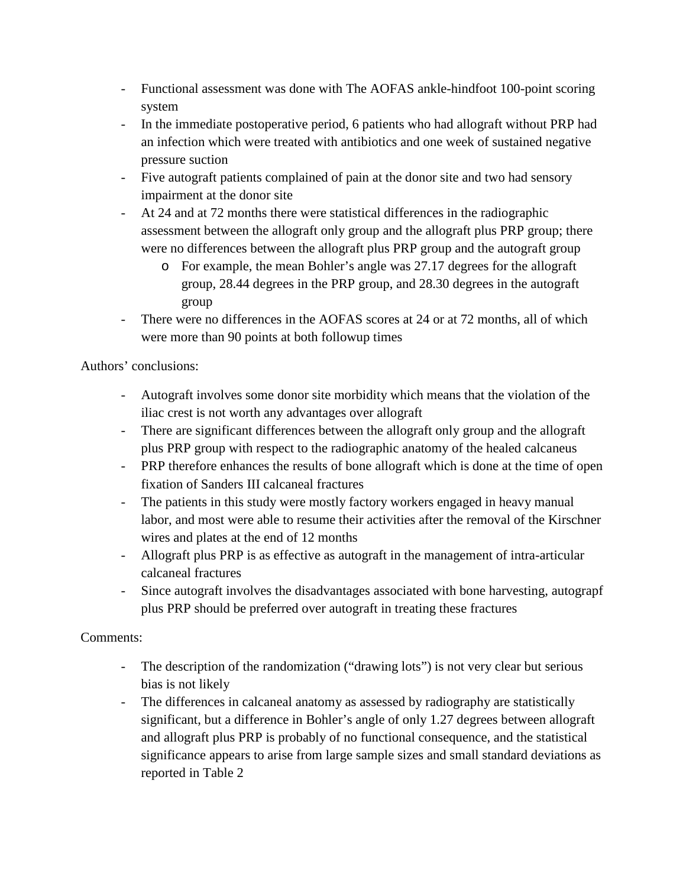- Functional assessment was done with The AOFAS ankle-hindfoot 100-point scoring system
- In the immediate postoperative period, 6 patients who had allograft without PRP had an infection which were treated with antibiotics and one week of sustained negative pressure suction
- Five autograft patients complained of pain at the donor site and two had sensory impairment at the donor site
- At 24 and at 72 months there were statistical differences in the radiographic assessment between the allograft only group and the allograft plus PRP group; there were no differences between the allograft plus PRP group and the autograft group
	- o For example, the mean Bohler's angle was 27.17 degrees for the allograft group, 28.44 degrees in the PRP group, and 28.30 degrees in the autograft group
- There were no differences in the AOFAS scores at 24 or at 72 months, all of which were more than 90 points at both followup times

Authors' conclusions:

- Autograft involves some donor site morbidity which means that the violation of the iliac crest is not worth any advantages over allograft
- There are significant differences between the allograft only group and the allograft plus PRP group with respect to the radiographic anatomy of the healed calcaneus
- PRP therefore enhances the results of bone allograft which is done at the time of open fixation of Sanders III calcaneal fractures
- The patients in this study were mostly factory workers engaged in heavy manual labor, and most were able to resume their activities after the removal of the Kirschner wires and plates at the end of 12 months
- Allograft plus PRP is as effective as autograft in the management of intra-articular calcaneal fractures
- Since autograft involves the disadvantages associated with bone harvesting, autograpf plus PRP should be preferred over autograft in treating these fractures

## Comments:

- The description of the randomization ("drawing lots") is not very clear but serious bias is not likely
- The differences in calcaneal anatomy as assessed by radiography are statistically significant, but a difference in Bohler's angle of only 1.27 degrees between allograft and allograft plus PRP is probably of no functional consequence, and the statistical significance appears to arise from large sample sizes and small standard deviations as reported in Table 2